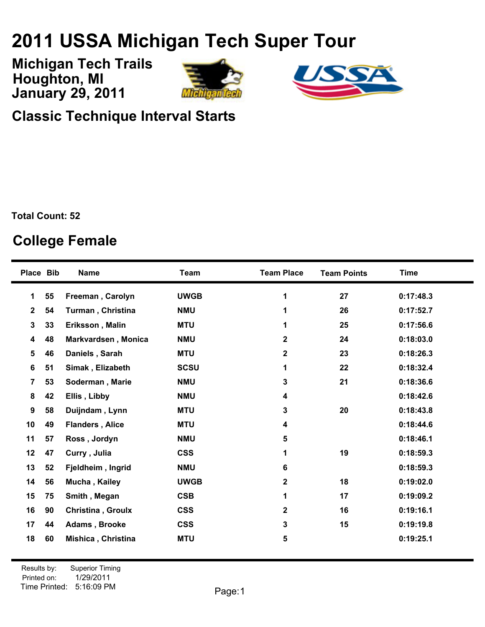## **USSA Michigan Tech Super Tour**

**January 29, 2011 Michigan Tech Trails Houghton, MI**





**Classic Technique Interval Starts**

**Total Count: 52**

## **College Female**

| Place Bib    |    | <b>Name</b>              | <b>Team</b> | <b>Team Place</b>       | <b>Team Points</b> | <b>Time</b> |
|--------------|----|--------------------------|-------------|-------------------------|--------------------|-------------|
| 1            | 55 | Freeman, Carolyn         | <b>UWGB</b> | 1                       | 27                 | 0:17:48.3   |
| $\mathbf{2}$ | 54 | <b>Turman, Christina</b> | <b>NMU</b>  | 1                       | 26                 | 0:17:52.7   |
| 3            | 33 | Eriksson, Malin          | <b>MTU</b>  | 1                       | 25                 | 0:17:56.6   |
| 4            | 48 | Markvardsen, Monica      | <b>NMU</b>  | $\overline{\mathbf{2}}$ | 24                 | 0:18:03.0   |
| 5            | 46 | Daniels, Sarah           | <b>MTU</b>  | $\overline{\mathbf{2}}$ | 23                 | 0:18:26.3   |
| 6            | 51 | Simak, Elizabeth         | <b>SCSU</b> | 1                       | 22                 | 0:18:32.4   |
| 7            | 53 | Soderman, Marie          | <b>NMU</b>  | 3                       | 21                 | 0:18:36.6   |
| 8            | 42 | Ellis, Libby             | <b>NMU</b>  | 4                       |                    | 0:18:42.6   |
| 9            | 58 | Duijndam, Lynn           | <b>MTU</b>  | 3                       | 20                 | 0:18:43.8   |
| 10           | 49 | <b>Flanders, Alice</b>   | <b>MTU</b>  | 4                       |                    | 0:18:44.6   |
| 11           | 57 | Ross, Jordyn             | <b>NMU</b>  | 5                       |                    | 0:18:46.1   |
| 12           | 47 | Curry, Julia             | <b>CSS</b>  | 1                       | 19                 | 0:18:59.3   |
| 13           | 52 | Fjeldheim, Ingrid        | <b>NMU</b>  | 6                       |                    | 0:18:59.3   |
| 14           | 56 | Mucha, Kailey            | <b>UWGB</b> | $\overline{\mathbf{2}}$ | 18                 | 0:19:02.0   |
| 15           | 75 | Smith, Megan             | <b>CSB</b>  | 1                       | 17                 | 0:19:09.2   |
| 16           | 90 | <b>Christina, Groulx</b> | <b>CSS</b>  | 2                       | 16                 | 0:19:16.1   |
| 17           | 44 | Adams, Brooke            | <b>CSS</b>  | 3                       | 15                 | 0:19:19.8   |
| 18           | 60 | Mishica, Christina       | <b>MTU</b>  | 5                       |                    | 0:19:25.1   |
|              |    |                          |             |                         |                    |             |

Printed on: Time Printed: 5:16:09 PMResults by: Superior Timing 1/29/2011